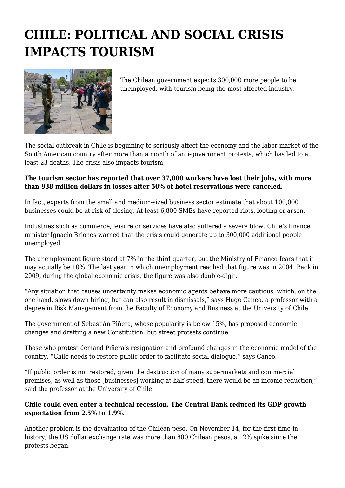## **CHILE: POLITICAL AND SOCIAL CRISIS IMPACTS TOURISM**



The Chilean government expects 300,000 more people to be unemployed, with tourism being the most affected industry.

The social outbreak in Chile is beginning to seriously affect the economy and the labor market of the South American country after more than a month of anti-government protests, which has led to at least 23 deaths. The crisis also impacts tourism.

## **The tourism sector has reported that over 37,000 workers have lost their jobs, with more than 938 million dollars in losses after 50% of hotel reservations were canceled.**

In fact, experts from the small and medium-sized business sector estimate that about 100,000 businesses could be at risk of closing. At least 6,800 SMEs have reported riots, looting or arson.

Industries such as commerce, leisure or services have also suffered a severe blow. Chile's finance minister Ignacio Briones warned that the crisis could generate up to 300,000 additional people unemployed.

The unemployment figure stood at 7% in the third quarter, but the Ministry of Finance fears that it may actually be 10%. The last year in which unemployment reached that figure was in 2004. Back in 2009, during the global economic crisis, the figure was also double-digit.

"Any situation that causes uncertainty makes economic agents behave more cautious, which, on the one hand, slows down hiring, but can also result in dismissals," says Hugo Caneo, a professor with a degree in Risk Management from the Faculty of Economy and Business at the University of Chile.

The government of Sebastián Piñera, whose popularity is below 15%, has proposed economic changes and drafting a new Constitution, but street protests continue.

Those who protest demand Piñera's resignation and profound changes in the economic model of the country. "Chile needs to restore public order to facilitate social dialogue," says Caneo.

"If public order is not restored, given the destruction of many supermarkets and commercial premises, as well as those [businesses] working at half speed, there would be an income reduction," said the professor at the University of Chile.

## **Chile could even enter a technical recession. The Central Bank reduced its GDP growth expectation from 2.5% to 1.9%.**

Another problem is the devaluation of the Chilean peso. On November 14, for the first time in history, the US dollar exchange rate was more than 800 Chilean pesos, a 12% spike since the protests began.